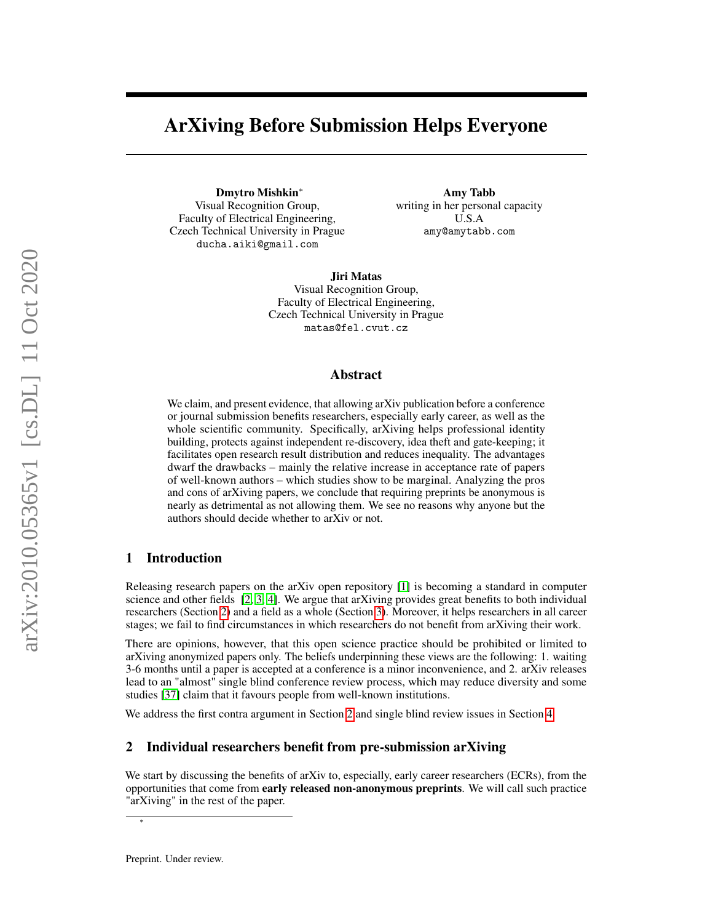# ArXiving Before Submission Helps Everyone

Dmytro Mishkin<sup>∗</sup> Visual Recognition Group, Faculty of Electrical Engineering, Czech Technical University in Prague ducha.aiki@gmail.com

Amy Tabb writing in her personal capacity U.S.A amy@amytabb.com

Jiri Matas Visual Recognition Group, Faculty of Electrical Engineering, Czech Technical University in Prague matas@fel.cvut.cz

### Abstract

We claim, and present evidence, that allowing arXiv publication before a conference or journal submission benefits researchers, especially early career, as well as the whole scientific community. Specifically, arXiving helps professional identity building, protects against independent re-discovery, idea theft and gate-keeping; it facilitates open research result distribution and reduces inequality. The advantages dwarf the drawbacks – mainly the relative increase in acceptance rate of papers of well-known authors – which studies show to be marginal. Analyzing the pros and cons of arXiving papers, we conclude that requiring preprints be anonymous is nearly as detrimental as not allowing them. We see no reasons why anyone but the authors should decide whether to arXiv or not.

## 1 Introduction

Releasing research papers on the arXiv open repository [\[1\]](#page-4-0) is becoming a standard in computer science and other fields  $[2, 3, 4]$  $[2, 3, 4]$  $[2, 3, 4]$  $[2, 3, 4]$  $[2, 3, 4]$ . We argue that arXiving provides great benefits to both individual researchers (Section [2\)](#page-0-0) and a field as a whole (Section [3\)](#page-2-0). Moreover, it helps researchers in all career stages; we fail to find circumstances in which researchers do not benefit from arXiving their work.

There are opinions, however, that this open science practice should be prohibited or limited to arXiving anonymized papers only. The beliefs underpinning these views are the following: 1. waiting 3-6 months until a paper is accepted at a conference is a minor inconvenience, and 2. arXiv releases lead to an "almost" single blind conference review process, which may reduce diversity and some studies [\[37\]](#page-5-0) claim that it favours people from well-known institutions.

We address the first contra argument in Section [2](#page-0-0) and single blind review issues in Section [4.](#page-3-0)

### <span id="page-0-0"></span>2 Individual researchers benefit from pre-submission arXiving

We start by discussing the benefits of arXiv to, especially, early career researchers (ECRs), from the opportunities that come from early released non-anonymous preprints. We will call such practice "arXiving" in the rest of the paper.

∗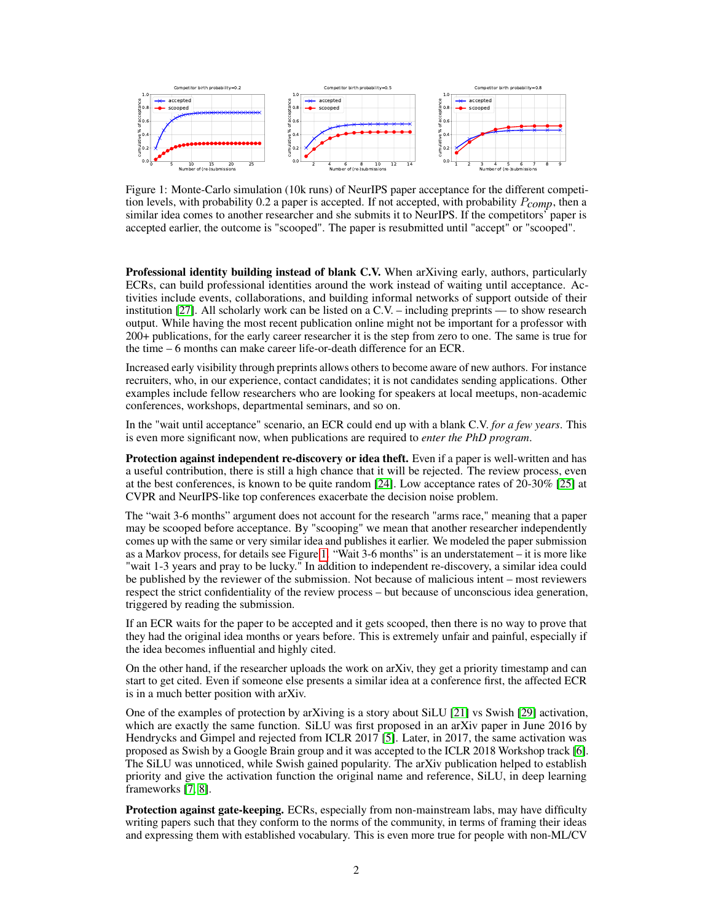

<span id="page-1-0"></span>Figure 1: Monte-Carlo simulation (10k runs) of NeurIPS paper acceptance for the different competition levels, with probability 0.2 a paper is accepted. If not accepted, with probability P*comp*, then a similar idea comes to another researcher and she submits it to NeurIPS. If the competitors' paper is accepted earlier, the outcome is "scooped". The paper is resubmitted until "accept" or "scooped".

Professional identity building instead of blank C.V. When arXiving early, authors, particularly ECRs, can build professional identities around the work instead of waiting until acceptance. Activities include events, collaborations, and building informal networks of support outside of their institution [\[27\]](#page-5-1). All scholarly work can be listed on a C.V. – including preprints — to show research output. While having the most recent publication online might not be important for a professor with 200+ publications, for the early career researcher it is the step from zero to one. The same is true for the time – 6 months can make career life-or-death difference for an ECR.

Increased early visibility through preprints allows others to become aware of new authors. For instance recruiters, who, in our experience, contact candidates; it is not candidates sending applications. Other examples include fellow researchers who are looking for speakers at local meetups, non-academic conferences, workshops, departmental seminars, and so on.

In the "wait until acceptance" scenario, an ECR could end up with a blank C.V. *for a few years*. This is even more significant now, when publications are required to *enter the PhD program*.

Protection against independent re-discovery or idea theft. Even if a paper is well-written and has a useful contribution, there is still a high chance that it will be rejected. The review process, even at the best conferences, is known to be quite random [\[24\]](#page-4-4). Low acceptance rates of 20-30% [\[25\]](#page-4-5) at CVPR and NeurIPS-like top conferences exacerbate the decision noise problem.

The "wait 3-6 months" argument does not account for the research "arms race," meaning that a paper may be scooped before acceptance. By "scooping" we mean that another researcher independently comes up with the same or very similar idea and publishes it earlier. We modeled the paper submission as a Markov process, for details see Figure [1.](#page-1-0) "Wait 3-6 months" is an understatement – it is more like "wait 1-3 years and pray to be lucky." In addition to independent re-discovery, a similar idea could be published by the reviewer of the submission. Not because of malicious intent – most reviewers respect the strict confidentiality of the review process – but because of unconscious idea generation, triggered by reading the submission.

If an ECR waits for the paper to be accepted and it gets scooped, then there is no way to prove that they had the original idea months or years before. This is extremely unfair and painful, especially if the idea becomes influential and highly cited.

On the other hand, if the researcher uploads the work on arXiv, they get a priority timestamp and can start to get cited. Even if someone else presents a similar idea at a conference first, the affected ECR is in a much better position with arXiv.

One of the examples of protection by arXiving is a story about SiLU [\[21\]](#page-4-6) vs Swish [\[29\]](#page-5-2) activation, which are exactly the same function. SiLU was first proposed in an arXiv paper in June 2016 by Hendrycks and Gimpel and rejected from ICLR 2017 [\[5\]](#page-4-7). Later, in 2017, the same activation was proposed as Swish by a Google Brain group and it was accepted to the ICLR 2018 Workshop track [\[6\]](#page-4-8). The SiLU was unnoticed, while Swish gained popularity. The arXiv publication helped to establish priority and give the activation function the original name and reference, SiLU, in deep learning frameworks [\[7,](#page-4-9) [8\]](#page-4-10).

Protection against gate-keeping. ECRs, especially from non-mainstream labs, may have difficulty writing papers such that they conform to the norms of the community, in terms of framing their ideas and expressing them with established vocabulary. This is even more true for people with non-ML/CV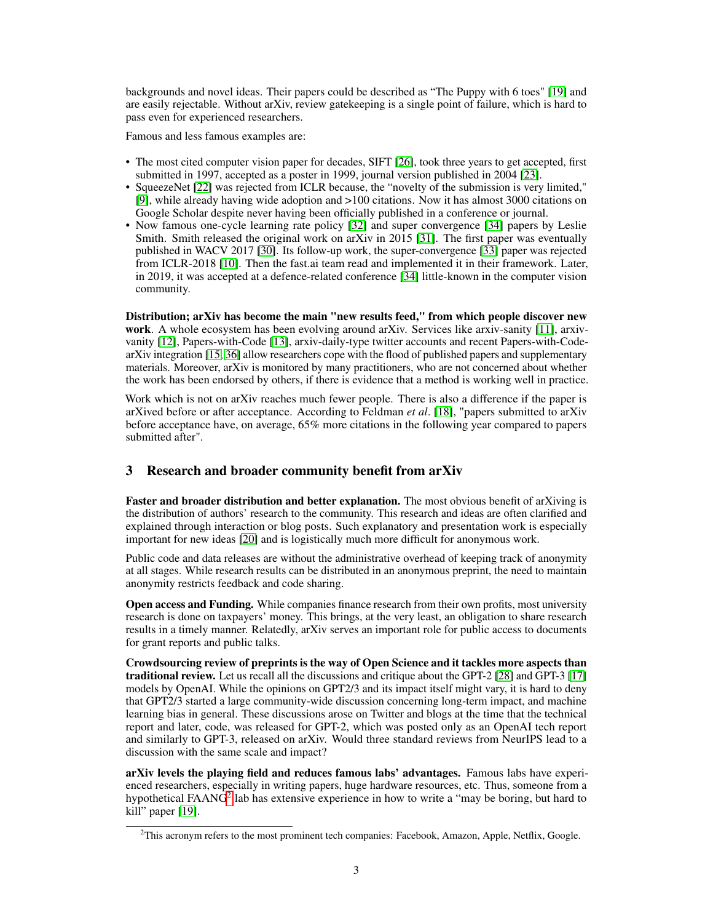backgrounds and novel ideas. Their papers could be described as "The Puppy with 6 toes" [\[19\]](#page-4-11) and are easily rejectable. Without arXiv, review gatekeeping is a single point of failure, which is hard to pass even for experienced researchers.

Famous and less famous examples are:

- The most cited computer vision paper for decades, SIFT [\[26\]](#page-5-3), took three years to get accepted, first submitted in 1997, accepted as a poster in 1999, journal version published in 2004 [\[23\]](#page-4-12).
- SqueezeNet [\[22\]](#page-4-13) was rejected from ICLR because, the "novelty of the submission is very limited," [\[9\]](#page-4-14), while already having wide adoption and >100 citations. Now it has almost 3000 citations on Google Scholar despite never having been officially published in a conference or journal.
- Now famous one-cycle learning rate policy [\[32\]](#page-5-4) and super convergence [\[34\]](#page-5-5) papers by Leslie Smith. Smith released the original work on arXiv in 2015 [\[31\]](#page-5-6). The first paper was eventually published in WACV 2017 [\[30\]](#page-5-7). Its follow-up work, the super-convergence [\[33\]](#page-5-8) paper was rejected from ICLR-2018 [\[10\]](#page-4-15). Then the fast.ai team read and implemented it in their framework. Later, in 2019, it was accepted at a defence-related conference [\[34\]](#page-5-5) little-known in the computer vision community.

Distribution; arXiv has become the main "new results feed," from which people discover new work. A whole ecosystem has been evolving around arXiv. Services like arxiv-sanity [\[11\]](#page-4-16), arxivvanity [\[12\]](#page-4-17), Papers-with-Code [\[13\]](#page-4-18), arxiv-daily-type twitter accounts and recent Papers-with-CodearXiv integration [\[15,](#page-4-19) [36\]](#page-5-9) allow researchers cope with the flood of published papers and supplementary materials. Moreover, arXiv is monitored by many practitioners, who are not concerned about whether the work has been endorsed by others, if there is evidence that a method is working well in practice.

Work which is not on arXiv reaches much fewer people. There is also a difference if the paper is arXived before or after acceptance. According to Feldman *et al*. [\[18\]](#page-4-20), "papers submitted to arXiv before acceptance have, on average, 65% more citations in the following year compared to papers submitted after".

# <span id="page-2-0"></span>3 Research and broader community benefit from arXiv

Faster and broader distribution and better explanation. The most obvious benefit of arXiving is the distribution of authors' research to the community. This research and ideas are often clarified and explained through interaction or blog posts. Such explanatory and presentation work is especially important for new ideas [\[20\]](#page-4-21) and is logistically much more difficult for anonymous work.

Public code and data releases are without the administrative overhead of keeping track of anonymity at all stages. While research results can be distributed in an anonymous preprint, the need to maintain anonymity restricts feedback and code sharing.

Open access and Funding. While companies finance research from their own profits, most university research is done on taxpayers' money. This brings, at the very least, an obligation to share research results in a timely manner. Relatedly, arXiv serves an important role for public access to documents for grant reports and public talks.

Crowdsourcing review of preprints is the way of Open Science and it tackles more aspects than traditional review. Let us recall all the discussions and critique about the GPT-2 [\[28\]](#page-5-10) and GPT-3 [\[17\]](#page-4-22) models by OpenAI. While the opinions on GPT2/3 and its impact itself might vary, it is hard to deny that GPT2/3 started a large community-wide discussion concerning long-term impact, and machine learning bias in general. These discussions arose on Twitter and blogs at the time that the technical report and later, code, was released for GPT-2, which was posted only as an OpenAI tech report and similarly to GPT-3, released on arXiv. Would three standard reviews from NeurIPS lead to a discussion with the same scale and impact?

arXiv levels the playing field and reduces famous labs' advantages. Famous labs have experienced researchers, especially in writing papers, huge hardware resources, etc. Thus, someone from a hypothetical FAAN $\tilde{G}^2$  $\tilde{G}^2$  lab has extensive experience in how to write a "may be boring, but hard to kill" paper [\[19\]](#page-4-11).

<span id="page-2-1"></span> ${}^{2}$ This acronym refers to the most prominent tech companies: Facebook, Amazon, Apple, Netflix, Google.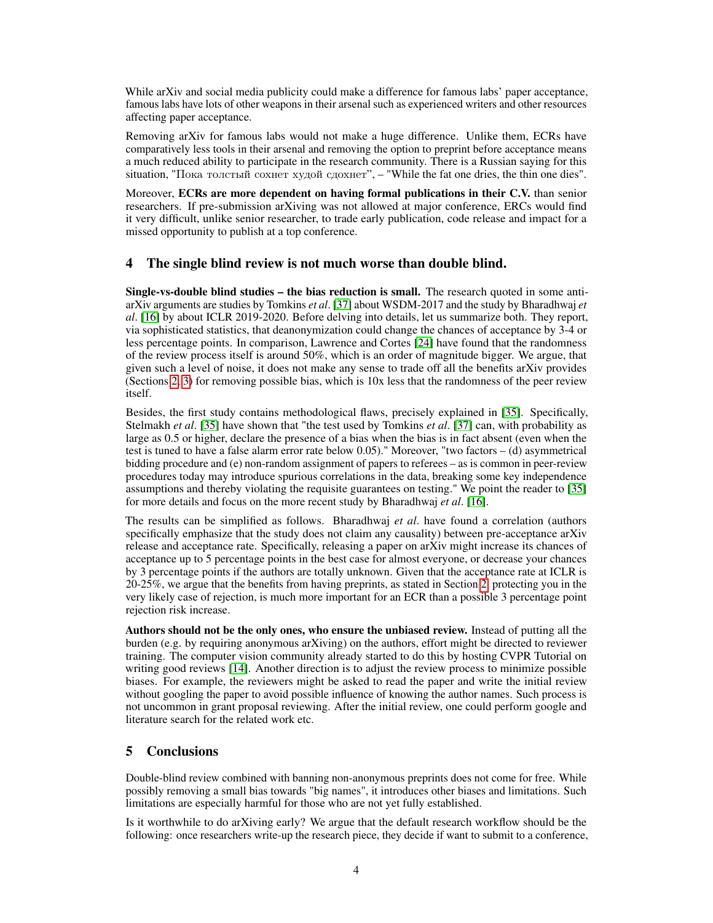While arXiv and social media publicity could make a difference for famous labs' paper acceptance, famous labs have lots of other weapons in their arsenal such as experienced writers and other resources affecting paper acceptance.

Removing arXiv for famous labs would not make a huge difference. Unlike them, ECRs have comparatively less tools in their arsenal and removing the option to preprint before acceptance means a much reduced ability to participate in the research community. There is a Russian saying for this situation, "Пока толстый сохнет худой сдохнет", – "While the fat one dries, the thin one dies".

Moreover, ECRs are more dependent on having formal publications in their C.V. than senior researchers. If pre-submission arXiving was not allowed at major conference, ERCs would find it very difficult, unlike senior researcher, to trade early publication, code release and impact for a missed opportunity to publish at a top conference.

# <span id="page-3-0"></span>4 The single blind review is not much worse than double blind.

Single-vs-double blind studies – the bias reduction is small. The research quoted in some antiarXiv arguments are studies by Tomkins *et al*. [\[37\]](#page-5-0) about WSDM-2017 and the study by Bharadhwaj *et al*. [\[16\]](#page-4-23) by about ICLR 2019-2020. Before delving into details, let us summarize both. They report, via sophisticated statistics, that deanonymization could change the chances of acceptance by 3-4 or less percentage points. In comparison, Lawrence and Cortes [\[24\]](#page-4-4) have found that the randomness of the review process itself is around 50%, which is an order of magnitude bigger. We argue, that given such a level of noise, it does not make any sense to trade off all the benefits arXiv provides (Sections [2,](#page-0-0) [3\)](#page-2-0) for removing possible bias, which is 10x less that the randomness of the peer review itself.

Besides, the first study contains methodological flaws, precisely explained in [\[35\]](#page-5-11). Specifically, Stelmakh *et al*. [\[35\]](#page-5-11) have shown that "the test used by Tomkins *et al*. [\[37\]](#page-5-0) can, with probability as large as 0.5 or higher, declare the presence of a bias when the bias is in fact absent (even when the test is tuned to have a false alarm error rate below 0.05)." Moreover, "two factors – (d) asymmetrical bidding procedure and (e) non-random assignment of papers to referees – as is common in peer-review procedures today may introduce spurious correlations in the data, breaking some key independence assumptions and thereby violating the requisite guarantees on testing." We point the reader to [\[35\]](#page-5-11) for more details and focus on the more recent study by Bharadhwaj *et al*. [\[16\]](#page-4-23).

The results can be simplified as follows. Bharadhwaj *et al*. have found a correlation (authors specifically emphasize that the study does not claim any causality) between pre-acceptance arXiv release and acceptance rate. Specifically, releasing a paper on arXiv might increase its chances of acceptance up to 5 percentage points in the best case for almost everyone, or decrease your chances by 3 percentage points if the authors are totally unknown. Given that the acceptance rate at ICLR is 20-25%, we argue that the benefits from having preprints, as stated in Section [2,](#page-0-0) protecting you in the very likely case of rejection, is much more important for an ECR than a possible 3 percentage point rejection risk increase.

Authors should not be the only ones, who ensure the unbiased review. Instead of putting all the burden (e.g. by requiring anonymous arXiving) on the authors, effort might be directed to reviewer training. The computer vision community already started to do this by hosting CVPR Tutorial on writing good reviews [\[14\]](#page-4-24). Another direction is to adjust the review process to minimize possible biases. For example, the reviewers might be asked to read the paper and write the initial review without googling the paper to avoid possible influence of knowing the author names. Such process is not uncommon in grant proposal reviewing. After the initial review, one could perform google and literature search for the related work etc.

## 5 Conclusions

Double-blind review combined with banning non-anonymous preprints does not come for free. While possibly removing a small bias towards "big names", it introduces other biases and limitations. Such limitations are especially harmful for those who are not yet fully established.

Is it worthwhile to do arXiving early? We argue that the default research workflow should be the following: once researchers write-up the research piece, they decide if want to submit to a conference,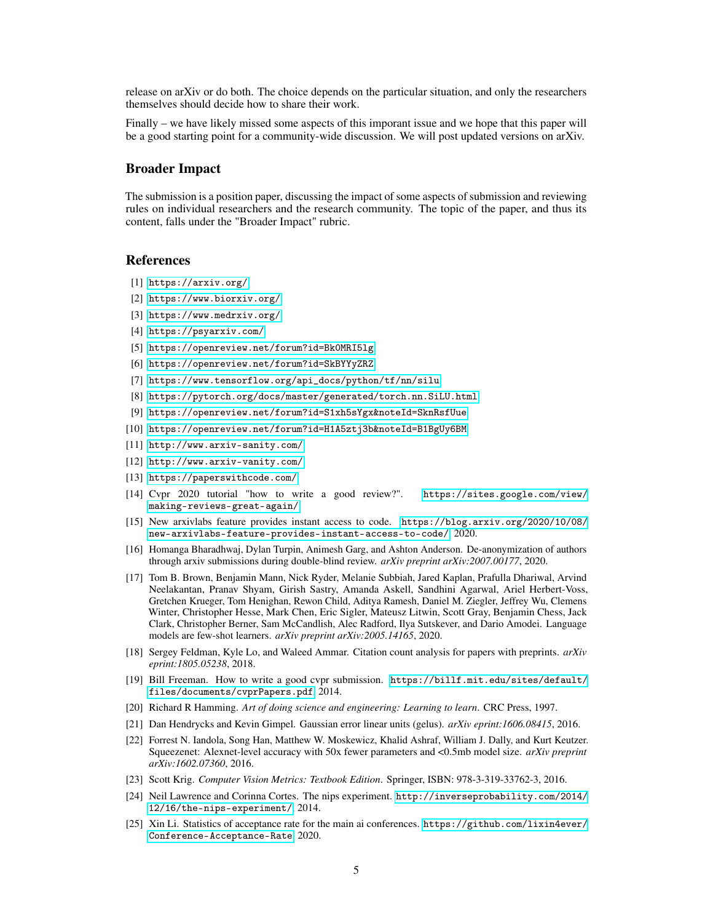release on arXiv or do both. The choice depends on the particular situation, and only the researchers themselves should decide how to share their work.

Finally – we have likely missed some aspects of this imporant issue and we hope that this paper will be a good starting point for a community-wide discussion. We will post updated versions on arXiv.

#### Broader Impact

The submission is a position paper, discussing the impact of some aspects of submission and reviewing rules on individual researchers and the research community. The topic of the paper, and thus its content, falls under the "Broader Impact" rubric.

### References

- <span id="page-4-0"></span>[1] <https://arxiv.org/>.
- <span id="page-4-1"></span>[2] <https://www.biorxiv.org/>.
- <span id="page-4-2"></span>[3] <https://www.medrxiv.org/>.
- <span id="page-4-3"></span>[4] <https://psyarxiv.com/>.
- <span id="page-4-7"></span>[5] <https://openreview.net/forum?id=Bk0MRI5lg>.
- <span id="page-4-8"></span>[6] <https://openreview.net/forum?id=SkBYYyZRZ>.
- <span id="page-4-9"></span>[7] [https://www.tensorflow.org/api\\_docs/python/tf/nn/silu](https://www.tensorflow.org/api_docs/python/tf/nn/silu).
- <span id="page-4-10"></span>[8] <https://pytorch.org/docs/master/generated/torch.nn.SiLU.html>.
- <span id="page-4-14"></span>[9] [https://openreview.net/forum?id=S1xh5sYgx&noteId=SknRsfUue](https://openreview.net/forum?id=S1xh5sYgx¬eId=SknRsfUue).
- <span id="page-4-15"></span>[10] [https://openreview.net/forum?id=H1A5ztj3b&noteId=B1BgUy6BM](https://openreview.net/forum?id=H1A5ztj3b¬eId=B1BgUy6BM).
- <span id="page-4-16"></span>[11] <http://www.arxiv-sanity.com/>.
- <span id="page-4-17"></span>[12] <http://www.arxiv-vanity.com/>.
- <span id="page-4-18"></span>[13] <https://paperswithcode.com/>.
- <span id="page-4-24"></span>[14] Cvpr 2020 tutorial "how to write a good review?". [https://sites.google.com/view/](https://sites.google.com/view/making-reviews-great-again/) [making-reviews-great-again/](https://sites.google.com/view/making-reviews-great-again/).
- <span id="page-4-19"></span>[15] New arxivlabs feature provides instant access to code. [https://blog.arxiv.org/2020/10/08/](https://blog.arxiv.org/2020/10/08/new-arxivlabs-feature-provides-instant-access-to-code/) [new-arxivlabs-feature-provides-instant-access-to-code/](https://blog.arxiv.org/2020/10/08/new-arxivlabs-feature-provides-instant-access-to-code/), 2020.
- <span id="page-4-23"></span>[16] Homanga Bharadhwaj, Dylan Turpin, Animesh Garg, and Ashton Anderson. De-anonymization of authors through arxiv submissions during double-blind review. *arXiv preprint arXiv:2007.00177*, 2020.
- <span id="page-4-22"></span>[17] Tom B. Brown, Benjamin Mann, Nick Ryder, Melanie Subbiah, Jared Kaplan, Prafulla Dhariwal, Arvind Neelakantan, Pranav Shyam, Girish Sastry, Amanda Askell, Sandhini Agarwal, Ariel Herbert-Voss, Gretchen Krueger, Tom Henighan, Rewon Child, Aditya Ramesh, Daniel M. Ziegler, Jeffrey Wu, Clemens Winter, Christopher Hesse, Mark Chen, Eric Sigler, Mateusz Litwin, Scott Gray, Benjamin Chess, Jack Clark, Christopher Berner, Sam McCandlish, Alec Radford, Ilya Sutskever, and Dario Amodei. Language models are few-shot learners. *arXiv preprint arXiv:2005.14165*, 2020.
- <span id="page-4-20"></span>[18] Sergey Feldman, Kyle Lo, and Waleed Ammar. Citation count analysis for papers with preprints. *arXiv eprint:1805.05238*, 2018.
- <span id="page-4-11"></span>[19] Bill Freeman. How to write a good cvpr submission. [https://billf.mit.edu/sites/default/](https://billf.mit.edu/sites/default/files/documents/cvprPapers.pdf) [files/documents/cvprPapers.pdf](https://billf.mit.edu/sites/default/files/documents/cvprPapers.pdf), 2014.
- <span id="page-4-21"></span>[20] Richard R Hamming. *Art of doing science and engineering: Learning to learn*. CRC Press, 1997.
- <span id="page-4-6"></span>[21] Dan Hendrycks and Kevin Gimpel. Gaussian error linear units (gelus). *arXiv eprint:1606.08415*, 2016.
- <span id="page-4-13"></span>[22] Forrest N. Iandola, Song Han, Matthew W. Moskewicz, Khalid Ashraf, William J. Dally, and Kurt Keutzer. Squeezenet: Alexnet-level accuracy with 50x fewer parameters and <0.5mb model size. *arXiv preprint arXiv:1602.07360*, 2016.
- <span id="page-4-12"></span>[23] Scott Krig. *Computer Vision Metrics: Textbook Edition*. Springer, ISBN: 978-3-319-33762-3, 2016.
- <span id="page-4-4"></span>[24] Neil Lawrence and Corinna Cortes. The nips experiment. [http://inverseprobability.com/2014/](http://inverseprobability.com/2014/12/16/the-nips-experiment/) [12/16/the-nips-experiment/](http://inverseprobability.com/2014/12/16/the-nips-experiment/), 2014.
- <span id="page-4-5"></span>[25] Xin Li. Statistics of acceptance rate for the main ai conferences. [https://github.com/lixin4ever/](https://github.com/lixin4ever/Conference-Acceptance-Rate) [Conference-Acceptance-Rate](https://github.com/lixin4ever/Conference-Acceptance-Rate), 2020.